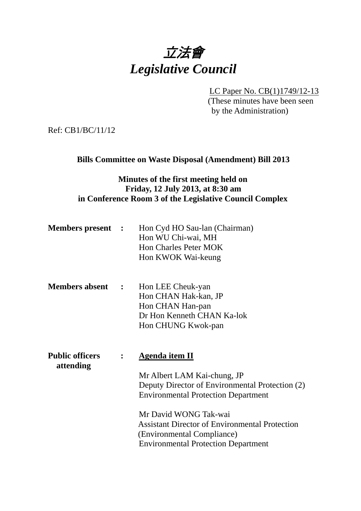

LC Paper No. CB(1)1749/12-13

(These minutes have been seen by the Administration)

Ref: CB1/BC/11/12

**Bills Committee on Waste Disposal (Amendment) Bill 2013** 

# **Minutes of the first meeting held on Friday, 12 July 2013, at 8:30 am in Conference Room 3 of the Legislative Council Complex**

| <b>Members present</b> : | Hon Cyd HO Sau-lan (Chairman) |
|--------------------------|-------------------------------|
|                          | Hon WU Chi-wai, MH            |
|                          | <b>Hon Charles Peter MOK</b>  |
|                          | Hon KWOK Wai-keung            |

**Members absent :**  Hon LEE Cheuk-yan Hon CHAN Hak-kan, JP Hon CHAN Han-pan Dr Hon Kenneth CHAN Ka-lok Hon CHUNG Kwok-pan

| <b>Public officers</b><br>attending | $\ddot{\bullet}$ | Agenda item II                                        |
|-------------------------------------|------------------|-------------------------------------------------------|
|                                     |                  | Mr Albert LAM Kai-chung, JP                           |
|                                     |                  | Deputy Director of Environmental Protection (2)       |
|                                     |                  | <b>Environmental Protection Department</b>            |
|                                     |                  | Mr David WONG Tak-wai                                 |
|                                     |                  | <b>Assistant Director of Environmental Protection</b> |
|                                     |                  | (Environmental Compliance)                            |
|                                     |                  | <b>Environmental Protection Department</b>            |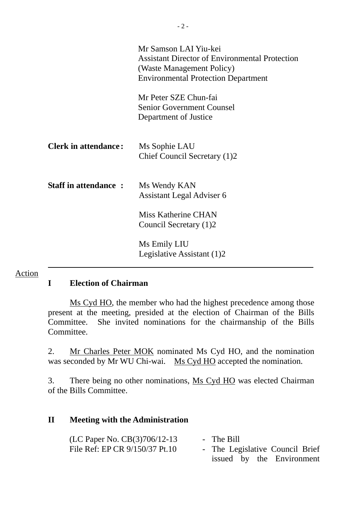|                             | Mr Samson LAI Yiu-kei<br><b>Assistant Director of Environmental Protection</b><br>(Waste Management Policy)<br><b>Environmental Protection Department</b> |
|-----------------------------|-----------------------------------------------------------------------------------------------------------------------------------------------------------|
|                             | Mr Peter SZE Chun-fai<br><b>Senior Government Counsel</b><br>Department of Justice                                                                        |
| <b>Clerk in attendance:</b> | Ms Sophie LAU<br>Chief Council Secretary (1)2                                                                                                             |
| <b>Staff in attendance:</b> | Ms Wendy KAN<br><b>Assistant Legal Adviser 6</b>                                                                                                          |
|                             | Miss Katherine CHAN<br>Council Secretary (1)2                                                                                                             |
|                             | Ms Emily LIU<br>Legislative Assistant (1)2                                                                                                                |

## **I Election of Chairman**

Action

Ms Cyd HO, the member who had the highest precedence among those present at the meeting, presided at the election of Chairman of the Bills Committee. She invited nominations for the chairmanship of the Bills Committee.

2. Mr Charles Peter MOK nominated Ms Cyd HO, and the nomination was seconded by Mr WU Chi-wai. Ms Cyd HO accepted the nomination.

3. There being no other nominations, Ms Cyd HO was elected Chairman of the Bills Committee.

#### **II Meeting with the Administration**

| (LC Paper No. $CB(3)706/12-13$ | - The Bill                      |
|--------------------------------|---------------------------------|
| File Ref: EP CR 9/150/37 Pt.10 | - The Legislative Council Brief |
|                                | issued by the Environment       |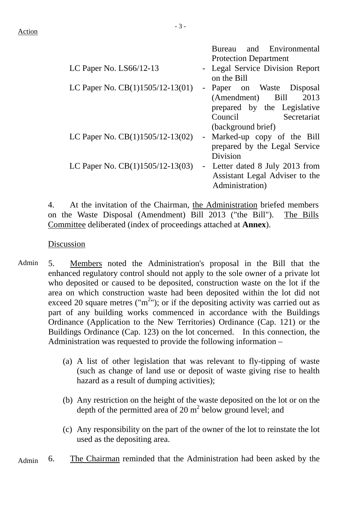|                                    | Bureau and Environmental<br><b>Protection Department</b>                                                                          |
|------------------------------------|-----------------------------------------------------------------------------------------------------------------------------------|
| LC Paper No. $LS66/12-13$          | - Legal Service Division Report<br>on the Bill                                                                                    |
| LC Paper No. $CB(1)1505/12-13(01)$ | - Paper on Waste Disposal<br>(Amendment) Bill<br>2013<br>prepared by the Legislative<br>Council Secretariat<br>(background brief) |
| LC Paper No. $CB(1)1505/12-13(02)$ | - Marked-up copy of the Bill<br>prepared by the Legal Service<br>Division                                                         |
| LC Paper No. $CB(1)1505/12-13(03)$ | - Letter dated 8 July 2013 from<br>Assistant Legal Adviser to the<br>Administration)                                              |

4. At the invitation of the Chairman, the Administration briefed members on the Waste Disposal (Amendment) Bill 2013 ("the Bill"). The Bills Committee deliberated (index of proceedings attached at **Annex**).

#### Discussion

- Admin 5. Members noted the Administration's proposal in the Bill that the enhanced regulatory control should not apply to the sole owner of a private lot who deposited or caused to be deposited, construction waste on the lot if the area on which construction waste had been deposited within the lot did not exceed 20 square metres ("m<sup>2</sup>"); or if the depositing activity was carried out as part of any building works commenced in accordance with the Buildings Ordinance (Application to the New Territories) Ordinance (Cap. 121) or the Buildings Ordinance (Cap. 123) on the lot concerned. In this connection, the Administration was requested to provide the following information –
	- (a) A list of other legislation that was relevant to fly-tipping of waste (such as change of land use or deposit of waste giving rise to health hazard as a result of dumping activities);
	- (b) Any restriction on the height of the waste deposited on the lot or on the depth of the permitted area of  $20 \text{ m}^2$  below ground level; and
	- (c) Any responsibility on the part of the owner of the lot to reinstate the lot used as the depositing area.
- Admin 6. The Chairman reminded that the Administration had been asked by the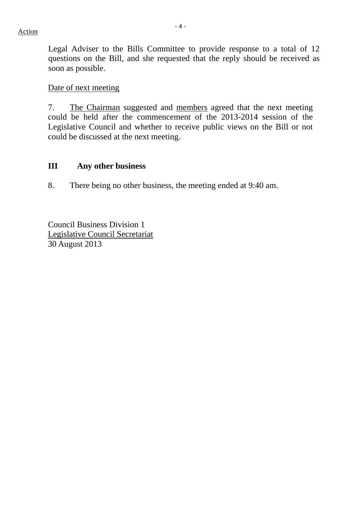Legal Adviser to the Bills Committee to provide response to a total of 12 questions on the Bill, and she requested that the reply should be received as soon as possible.

### Date of next meeting

7. The Chairman suggested and members agreed that the next meeting could be held after the commencement of the 2013-2014 session of the Legislative Council and whether to receive public views on the Bill or not could be discussed at the next meeting.

## **III Any other business**

8. There being no other business, the meeting ended at 9:40 am.

Council Business Division 1 Legislative Council Secretariat 30 August 2013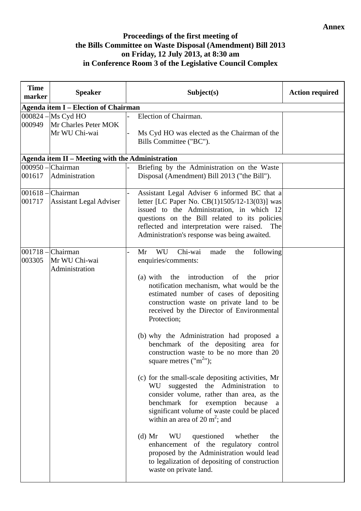## **Proceedings of the first meeting of the Bills Committee on Waste Disposal (Amendment) Bill 2013 on Friday, 12 July 2013, at 8:30 am in Conference Room 3 of the Legislative Council Complex**

| <b>Time</b><br>marker | <b>Speaker</b>                                              | Subject(s)                                                                                                                                                                                                                                                                                                                                                                                                                                                                                                                                                                                                                                                                                                                                                                                                                                                                                                                                                                                     | <b>Action required</b> |
|-----------------------|-------------------------------------------------------------|------------------------------------------------------------------------------------------------------------------------------------------------------------------------------------------------------------------------------------------------------------------------------------------------------------------------------------------------------------------------------------------------------------------------------------------------------------------------------------------------------------------------------------------------------------------------------------------------------------------------------------------------------------------------------------------------------------------------------------------------------------------------------------------------------------------------------------------------------------------------------------------------------------------------------------------------------------------------------------------------|------------------------|
|                       | <b>Agenda item I – Election of Chairman</b>                 |                                                                                                                                                                                                                                                                                                                                                                                                                                                                                                                                                                                                                                                                                                                                                                                                                                                                                                                                                                                                |                        |
| 000949                | 000824 - Ms Cyd HO<br>Mr Charles Peter MOK<br>Mr WU Chi-wai | Election of Chairman.<br>Ms Cyd HO was elected as the Chairman of the<br>Bills Committee ("BC").                                                                                                                                                                                                                                                                                                                                                                                                                                                                                                                                                                                                                                                                                                                                                                                                                                                                                               |                        |
|                       | Agenda item II - Meeting with the Administration            |                                                                                                                                                                                                                                                                                                                                                                                                                                                                                                                                                                                                                                                                                                                                                                                                                                                                                                                                                                                                |                        |
| 001617                | $000950$ – Chairman<br>Administration                       | Briefing by the Administration on the Waste<br>Disposal (Amendment) Bill 2013 ("the Bill").                                                                                                                                                                                                                                                                                                                                                                                                                                                                                                                                                                                                                                                                                                                                                                                                                                                                                                    |                        |
| 001717                | $001618$ – Chairman<br><b>Assistant Legal Adviser</b>       | Assistant Legal Adviser 6 informed BC that a<br>letter [LC Paper No. CB(1)1505/12-13(03)] was<br>issued to the Administration, in which 12<br>questions on the Bill related to its policies<br>reflected and interpretation were raised.<br>The<br>Administration's response was being awaited.                                                                                                                                                                                                                                                                                                                                                                                                                                                                                                                                                                                                                                                                                                |                        |
| 003305                | 001718 - Chairman<br>Mr WU Chi-wai<br>Administration        | Chi-wai<br>Mr<br>WU<br>following<br>made<br>the<br>enquiries/comments:<br>introduction<br>$(a)$ with<br>the<br>of the prior<br>notification mechanism, what would be the<br>estimated number of cases of depositing<br>construction waste on private land to be<br>received by the Director of Environmental<br>Protection;<br>(b) why the Administration had proposed a<br>benchmark of the depositing area for<br>construction waste to be no more than 20<br>square metres $("m2");$<br>(c) for the small-scale depositing activities, Mr<br>suggested the Administration to<br>WU<br>consider volume, rather than area, as the<br>benchmark for exemption<br>because<br><sub>a</sub><br>significant volume of waste could be placed<br>within an area of 20 $m^2$ ; and<br>questioned<br>$(d)$ Mr<br>WU<br>whether<br>the<br>enhancement of the regulatory control<br>proposed by the Administration would lead<br>to legalization of depositing of construction<br>waste on private land. |                        |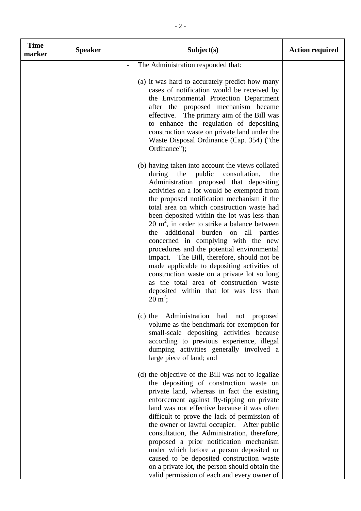| <b>Time</b><br>marker | <b>Speaker</b> | Subject(s)                                                                                                                                                                                                                                                                                                                                                                                                                                                                                                                                                                                                                                                                                                                                                                         | <b>Action required</b> |
|-----------------------|----------------|------------------------------------------------------------------------------------------------------------------------------------------------------------------------------------------------------------------------------------------------------------------------------------------------------------------------------------------------------------------------------------------------------------------------------------------------------------------------------------------------------------------------------------------------------------------------------------------------------------------------------------------------------------------------------------------------------------------------------------------------------------------------------------|------------------------|
|                       |                | The Administration responded that:<br>(a) it was hard to accurately predict how many<br>cases of notification would be received by<br>the Environmental Protection Department<br>after the proposed mechanism became<br>effective. The primary aim of the Bill was<br>to enhance the regulation of depositing<br>construction waste on private land under the<br>Waste Disposal Ordinance (Cap. 354) ("the<br>Ordinance");                                                                                                                                                                                                                                                                                                                                                         |                        |
|                       |                | (b) having taken into account the views collated<br>the<br>public<br>consultation,<br>during<br>the<br>Administration proposed that depositing<br>activities on a lot would be exempted from<br>the proposed notification mechanism if the<br>total area on which construction waste had<br>been deposited within the lot was less than<br>20 $m^2$ , in order to strike a balance between<br>additional burden on all parties<br>the<br>concerned in complying with the new<br>procedures and the potential environmental<br>impact. The Bill, therefore, should not be<br>made applicable to depositing activities of<br>construction waste on a private lot so long<br>as the total area of construction waste<br>deposited within that lot was less than<br>$20 \text{ m}^2$ ; |                        |
|                       |                | (c) the Administration had not proposed<br>volume as the benchmark for exemption for<br>small-scale depositing activities because<br>according to previous experience, illegal<br>dumping activities generally involved a<br>large piece of land; and                                                                                                                                                                                                                                                                                                                                                                                                                                                                                                                              |                        |
|                       |                | (d) the objective of the Bill was not to legalize<br>the depositing of construction waste on<br>private land, whereas in fact the existing<br>enforcement against fly-tipping on private<br>land was not effective because it was often<br>difficult to prove the lack of permission of<br>the owner or lawful occupier. After public<br>consultation, the Administration, therefore,<br>proposed a prior notification mechanism<br>under which before a person deposited or<br>caused to be deposited construction waste<br>on a private lot, the person should obtain the<br>valid permission of each and every owner of                                                                                                                                                         |                        |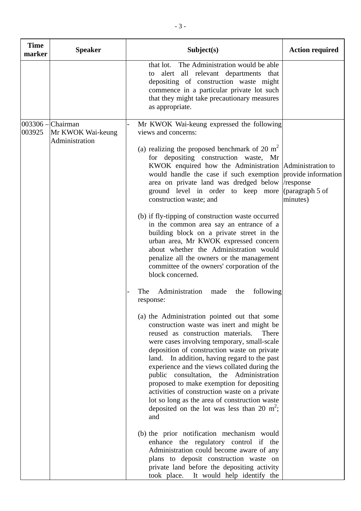| <b>Time</b><br>marker | <b>Speaker</b>                                             | Subject(s)                                                                                                                                                                                                                                                                                                                                                                                                                                                                                                                                                                                                                                                                                                                                                                                                                                                                                                                                                                                                                                                                                                                                                                                                                                                                                                                                                                                                                                                                                                                   | <b>Action required</b>                                          |
|-----------------------|------------------------------------------------------------|------------------------------------------------------------------------------------------------------------------------------------------------------------------------------------------------------------------------------------------------------------------------------------------------------------------------------------------------------------------------------------------------------------------------------------------------------------------------------------------------------------------------------------------------------------------------------------------------------------------------------------------------------------------------------------------------------------------------------------------------------------------------------------------------------------------------------------------------------------------------------------------------------------------------------------------------------------------------------------------------------------------------------------------------------------------------------------------------------------------------------------------------------------------------------------------------------------------------------------------------------------------------------------------------------------------------------------------------------------------------------------------------------------------------------------------------------------------------------------------------------------------------------|-----------------------------------------------------------------|
|                       |                                                            | The Administration would be able<br>that lot.<br>alert all relevant departments that<br>to<br>depositing of construction waste might<br>commence in a particular private lot such<br>that they might take precautionary measures<br>as appropriate.                                                                                                                                                                                                                                                                                                                                                                                                                                                                                                                                                                                                                                                                                                                                                                                                                                                                                                                                                                                                                                                                                                                                                                                                                                                                          |                                                                 |
| 003925                | $003306$ – Chairman<br>Mr KWOK Wai-keung<br>Administration | Mr KWOK Wai-keung expressed the following<br>views and concerns:<br>(a) realizing the proposed benchmark of 20 $m2$<br>for depositing construction waste, Mr<br>KWOK enquired how the Administration Administration to<br>would handle the case if such exemption<br>area on private land was dredged below<br>ground level in order to keep more<br>construction waste; and<br>(b) if fly-tipping of construction waste occurred<br>in the common area say an entrance of a<br>building block on a private street in the<br>urban area, Mr KWOK expressed concern<br>about whether the Administration would<br>penalize all the owners or the management<br>committee of the owners' corporation of the<br>block concerned.<br>Administration<br>following<br>The<br>made<br>the<br>response:<br>(a) the Administration pointed out that some<br>construction waste was inert and might be<br>reused as construction materials.<br>There<br>were cases involving temporary, small-scale<br>deposition of construction waste on private<br>land. In addition, having regard to the past<br>experience and the views collated during the<br>public consultation, the Administration<br>proposed to make exemption for depositing<br>activities of construction waste on a private<br>lot so long as the area of construction waste<br>deposited on the lot was less than 20 $m^2$ ;<br>and<br>(b) the prior notification mechanism would<br>enhance the regulatory control if the<br>Administration could become aware of any | provide information<br>/response<br>(paragraph 5 of<br>minutes) |
|                       |                                                            | plans to deposit construction waste on<br>private land before the depositing activity<br>took place. It would help identify the                                                                                                                                                                                                                                                                                                                                                                                                                                                                                                                                                                                                                                                                                                                                                                                                                                                                                                                                                                                                                                                                                                                                                                                                                                                                                                                                                                                              |                                                                 |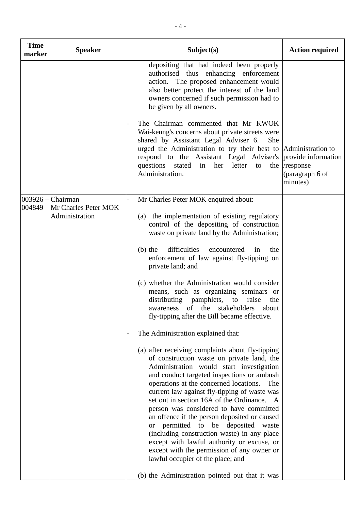| <b>Speaker</b>                                                | Subject(s)                                                                                                                                                                                                                                                                                                                                                                                                                                                                                                                                                                                                                                               | <b>Action required</b>                                                                                                                                                          |
|---------------------------------------------------------------|----------------------------------------------------------------------------------------------------------------------------------------------------------------------------------------------------------------------------------------------------------------------------------------------------------------------------------------------------------------------------------------------------------------------------------------------------------------------------------------------------------------------------------------------------------------------------------------------------------------------------------------------------------|---------------------------------------------------------------------------------------------------------------------------------------------------------------------------------|
|                                                               | depositing that had indeed been properly<br>authorised thus enhancing enforcement<br>action. The proposed enhancement would<br>also better protect the interest of the land<br>owners concerned if such permission had to<br>be given by all owners.                                                                                                                                                                                                                                                                                                                                                                                                     |                                                                                                                                                                                 |
|                                                               | The Chairman commented that Mr KWOK<br>Wai-keung's concerns about private streets were<br>shared by Assistant Legal Adviser 6.<br>She<br>questions stated in her letter to<br>Administration.                                                                                                                                                                                                                                                                                                                                                                                                                                                            | the /response<br>(paragraph 6 of<br>minutes)                                                                                                                                    |
| $003926$ – Chairman<br>Mr Charles Peter MOK<br>Administration | Mr Charles Peter MOK enquired about:<br>(a) the implementation of existing regulatory<br>control of the depositing of construction                                                                                                                                                                                                                                                                                                                                                                                                                                                                                                                       |                                                                                                                                                                                 |
|                                                               | difficulties<br>$(b)$ the<br>encountered<br>the<br>1n<br>enforcement of law against fly-tipping on<br>private land; and                                                                                                                                                                                                                                                                                                                                                                                                                                                                                                                                  |                                                                                                                                                                                 |
|                                                               | (c) whether the Administration would consider<br>means, such as organizing seminars or<br>distributing pamphlets, to raise the<br>awareness of the stakeholders<br>about<br>fly-tipping after the Bill became effective.                                                                                                                                                                                                                                                                                                                                                                                                                                 |                                                                                                                                                                                 |
|                                                               | The Administration explained that:                                                                                                                                                                                                                                                                                                                                                                                                                                                                                                                                                                                                                       |                                                                                                                                                                                 |
|                                                               | (a) after receiving complaints about fly-tipping<br>of construction waste on private land, the<br>Administration would start investigation<br>and conduct targeted inspections or ambush<br>operations at the concerned locations.<br>The<br>current law against fly-tipping of waste was<br>set out in section 16A of the Ordinance. A<br>person was considered to have committed<br>an offence if the person deposited or caused<br>or permitted to be deposited waste<br>(including construction waste) in any place<br>except with lawful authority or excuse, or<br>except with the permission of any owner or<br>lawful occupier of the place; and |                                                                                                                                                                                 |
|                                                               |                                                                                                                                                                                                                                                                                                                                                                                                                                                                                                                                                                                                                                                          | urged the Administration to try their best to Administration to<br>respond to the Assistant Legal Adviser's provide information<br>waste on private land by the Administration; |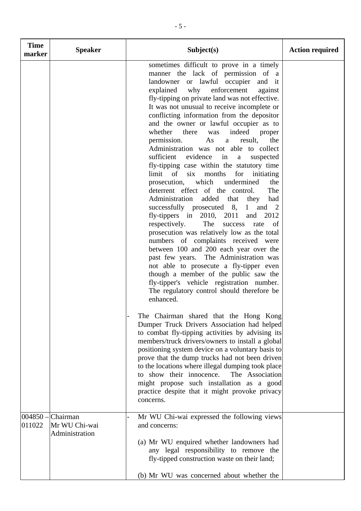| <b>Time</b><br>marker | <b>Speaker</b>                              | Subject(s)                                                                                                                                                                                                                                                                                                                                                                                                                                                                                                                                                                                                                                                                                                                                                                                                                                                                                                                                                                                                                                                                                                                                                                                                                                                                                         | <b>Action required</b> |
|-----------------------|---------------------------------------------|----------------------------------------------------------------------------------------------------------------------------------------------------------------------------------------------------------------------------------------------------------------------------------------------------------------------------------------------------------------------------------------------------------------------------------------------------------------------------------------------------------------------------------------------------------------------------------------------------------------------------------------------------------------------------------------------------------------------------------------------------------------------------------------------------------------------------------------------------------------------------------------------------------------------------------------------------------------------------------------------------------------------------------------------------------------------------------------------------------------------------------------------------------------------------------------------------------------------------------------------------------------------------------------------------|------------------------|
|                       |                                             | sometimes difficult to prove in a timely<br>manner the lack of permission of a<br>landowner or lawful occupier and it<br>why<br>explained<br>enforcement<br>against<br>fly-tipping on private land was not effective.<br>It was not unusual to receive incomplete or<br>conflicting information from the depositor<br>and the owner or lawful occupier as to<br>whether<br>there<br>indeed<br>was<br>proper<br>permission.<br>As<br>result,<br>the<br>a<br>Administration was not able to collect<br>sufficient<br>evidence<br>in<br>suspected<br>$\mathbf{a}$<br>fly-tipping case within the statutory time<br>limit of six months<br>for initiating<br>prosecution, which<br>undermined<br>the<br>deterrent effect of the control.<br>The<br>Administration added that they<br>had<br>successfully prosecuted 8,<br>1 and 2<br>fly-tippers in $2010$ , $2011$<br>2012<br>and<br>respectively.<br>The<br>success<br>rate of<br>prosecution was relatively low as the total<br>numbers of complaints received were<br>between 100 and 200 each year over the<br>past few years. The Administration was<br>not able to prosecute a fly-tipper even<br>though a member of the public saw the<br>fly-tipper's vehicle registration number.<br>The regulatory control should therefore be<br>enhanced. |                        |
|                       |                                             | The Chairman shared that the Hong Kong<br>Dumper Truck Drivers Association had helped<br>to combat fly-tipping activities by advising its<br>members/truck drivers/owners to install a global<br>positioning system device on a voluntary basis to<br>prove that the dump trucks had not been driven<br>to the locations where illegal dumping took place<br>to show their innocence.<br>The Association<br>might propose such installation as a good<br>practice despite that it might provoke privacy<br>concerns.                                                                                                                                                                                                                                                                                                                                                                                                                                                                                                                                                                                                                                                                                                                                                                               |                        |
| $ 004850 -$<br>011022 | Chairman<br>Mr WU Chi-wai<br>Administration | Mr WU Chi-wai expressed the following views<br>and concerns:<br>(a) Mr WU enquired whether landowners had                                                                                                                                                                                                                                                                                                                                                                                                                                                                                                                                                                                                                                                                                                                                                                                                                                                                                                                                                                                                                                                                                                                                                                                          |                        |
|                       |                                             | any legal responsibility to remove the<br>fly-tipped construction waste on their land;<br>(b) Mr WU was concerned about whether the                                                                                                                                                                                                                                                                                                                                                                                                                                                                                                                                                                                                                                                                                                                                                                                                                                                                                                                                                                                                                                                                                                                                                                |                        |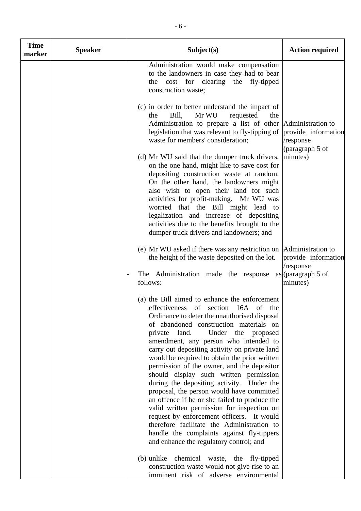| <b>Time</b><br>marker | <b>Speaker</b> | Subject(s)                                                                                                                                                                                                                                                                                                                                                                                                                                                                                                                                                                                                                                                                                                                                                                                                                           | <b>Action required</b>           |
|-----------------------|----------------|--------------------------------------------------------------------------------------------------------------------------------------------------------------------------------------------------------------------------------------------------------------------------------------------------------------------------------------------------------------------------------------------------------------------------------------------------------------------------------------------------------------------------------------------------------------------------------------------------------------------------------------------------------------------------------------------------------------------------------------------------------------------------------------------------------------------------------------|----------------------------------|
|                       |                | Administration would make compensation<br>to the landowners in case they had to bear<br>the cost for clearing the fly-tipped<br>construction waste;                                                                                                                                                                                                                                                                                                                                                                                                                                                                                                                                                                                                                                                                                  |                                  |
|                       |                | (c) in order to better understand the impact of<br>Bill,<br>Mr WU<br>requested<br>the<br>the<br>Administration to prepare a list of other Administration to<br>legislation that was relevant to fly-tipping of provide information<br>waste for members' consideration;                                                                                                                                                                                                                                                                                                                                                                                                                                                                                                                                                              | /response<br>(paragraph 5 of     |
|                       |                | (d) Mr WU said that the dumper truck drivers,  minutes)<br>on the one hand, might like to save cost for<br>depositing construction waste at random.<br>On the other hand, the landowners might<br>also wish to open their land for such<br>activities for profit-making. Mr WU was<br>worried that the Bill might lead to<br>legalization and increase of depositing<br>activities due to the benefits brought to the<br>dumper truck drivers and landowners; and                                                                                                                                                                                                                                                                                                                                                                    |                                  |
|                       |                | (e) Mr WU asked if there was any restriction on  Administration to<br>the height of the waste deposited on the lot.                                                                                                                                                                                                                                                                                                                                                                                                                                                                                                                                                                                                                                                                                                                  | provide information<br>/response |
|                       |                | The Administration made the response<br>follows:                                                                                                                                                                                                                                                                                                                                                                                                                                                                                                                                                                                                                                                                                                                                                                                     | $as$ (paragraph 5 of<br>minutes) |
|                       |                | (a) the Bill aimed to enhance the enforcement<br>effectiveness of section 16A of the<br>Ordinance to deter the unauthorised disposal<br>of abandoned construction materials on<br>private land.<br>Under the proposed<br>amendment, any person who intended to<br>carry out depositing activity on private land<br>would be required to obtain the prior written<br>permission of the owner, and the depositor<br>should display such written permission<br>during the depositing activity. Under the<br>proposal, the person would have committed<br>an offence if he or she failed to produce the<br>valid written permission for inspection on<br>request by enforcement officers. It would<br>therefore facilitate the Administration to<br>handle the complaints against fly-tippers<br>and enhance the regulatory control; and |                                  |
|                       |                | (b) unlike chemical waste, the fly-tipped<br>construction waste would not give rise to an<br>imminent risk of adverse environmental                                                                                                                                                                                                                                                                                                                                                                                                                                                                                                                                                                                                                                                                                                  |                                  |